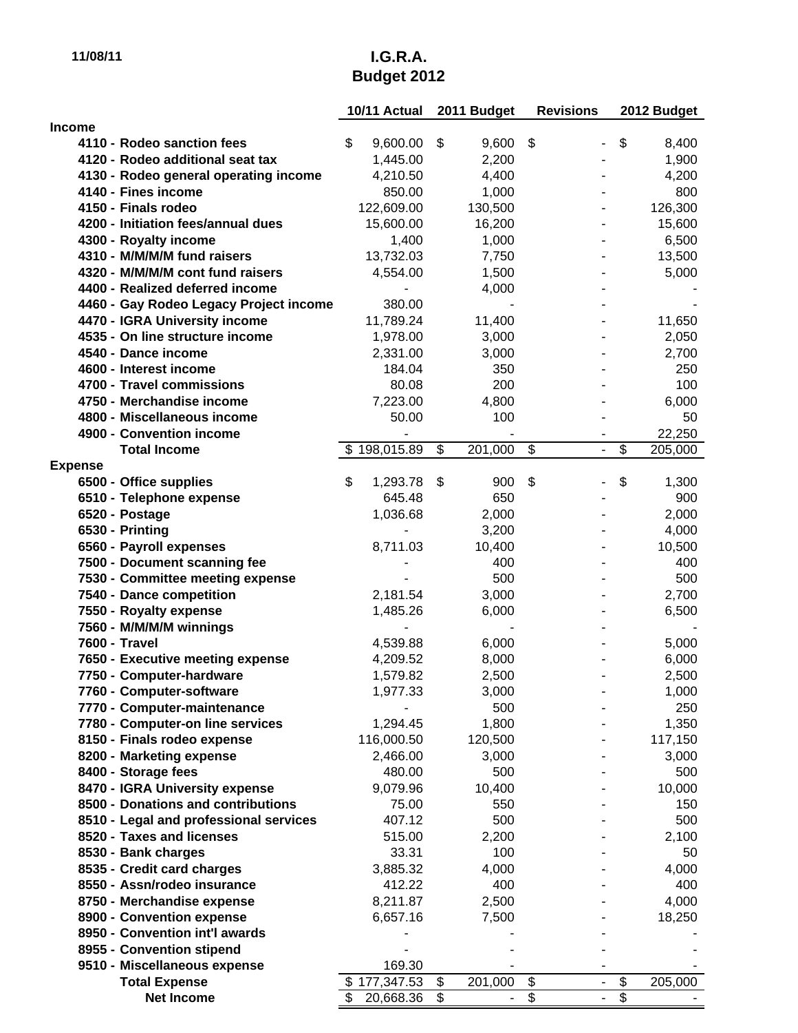# **11/08/11 I.G.R.A. Budget 2012**

|                                                                 | 10/11 Actual     |          |                         | 2011 Budget    | <b>Revisions</b>         |                          | 2012 Budget   |  |
|-----------------------------------------------------------------|------------------|----------|-------------------------|----------------|--------------------------|--------------------------|---------------|--|
| Income                                                          |                  |          |                         |                |                          |                          |               |  |
| 4110 - Rodeo sanction fees                                      | \$<br>9,600.00   |          | \$                      | 9,600          | \$                       |                          | \$<br>8,400   |  |
| 4120 - Rodeo additional seat tax                                | 1,445.00         |          |                         | 2,200          |                          |                          | 1,900         |  |
| 4130 - Rodeo general operating income                           | 4,210.50         |          |                         | 4,400          |                          |                          | 4,200         |  |
| 4140 - Fines income                                             |                  | 850.00   |                         | 1,000          |                          |                          | 800           |  |
| 4150 - Finals rodeo                                             | 122,609.00       |          |                         | 130,500        |                          |                          | 126,300       |  |
| 4200 - Initiation fees/annual dues                              | 15,600.00        |          |                         | 16,200         |                          |                          | 15,600        |  |
| 4300 - Royalty income                                           |                  | 1,400    |                         | 1,000          |                          |                          | 6,500         |  |
| 4310 - M/M/M/M fund raisers                                     | 13,732.03        |          |                         | 7,750          |                          |                          | 13,500        |  |
| 4320 - M/M/M/M cont fund raisers                                | 4,554.00         |          |                         | 1,500          |                          |                          | 5,000         |  |
| 4400 - Realized deferred income                                 |                  |          |                         | 4,000          |                          |                          |               |  |
| 4460 - Gay Rodeo Legacy Project income                          |                  | 380.00   |                         |                |                          |                          |               |  |
| 4470 - IGRA University income                                   | 11,789.24        |          |                         | 11,400         |                          |                          | 11,650        |  |
| 4535 - On line structure income                                 | 1,978.00         |          |                         | 3,000          |                          |                          | 2,050         |  |
| 4540 - Dance income                                             | 2,331.00         |          |                         | 3,000          |                          |                          | 2,700         |  |
| 4600 - Interest income                                          |                  | 184.04   |                         | 350            |                          |                          | 250           |  |
| 4700 - Travel commissions                                       |                  | 80.08    |                         | 200            |                          |                          | 100           |  |
| 4750 - Merchandise income                                       | 7,223.00         |          |                         | 4,800          |                          |                          | 6,000         |  |
| 4800 - Miscellaneous income                                     |                  | 50.00    |                         | 100            |                          |                          | 50            |  |
| 4900 - Convention income                                        |                  |          |                         |                |                          |                          | 22,250        |  |
| <b>Total Income</b>                                             | \$198,015.89     |          | $\overline{\mathbf{3}}$ | 201,000        | $\overline{\mathcal{S}}$ | $\overline{\phantom{0}}$ | \$<br>205,000 |  |
| <b>Expense</b>                                                  |                  |          |                         |                |                          |                          |               |  |
| 6500 - Office supplies                                          | \$               | 1,293.78 | \$                      | 900            | \$                       |                          | \$<br>1,300   |  |
| 6510 - Telephone expense                                        |                  | 645.48   |                         | 650            |                          |                          | 900           |  |
| 6520 - Postage                                                  |                  | 1,036.68 |                         | 2,000          |                          |                          | 2,000         |  |
| 6530 - Printing                                                 |                  |          |                         | 3,200          |                          |                          | 4,000         |  |
| 6560 - Payroll expenses                                         | 8,711.03         |          |                         | 10,400         |                          |                          | 10,500        |  |
| 7500 - Document scanning fee                                    |                  |          |                         | 400            |                          |                          | 400           |  |
| 7530 - Committee meeting expense                                |                  |          |                         | 500            |                          |                          | 500           |  |
| 7540 - Dance competition                                        | 2,181.54         |          |                         | 3,000          |                          |                          | 2,700         |  |
| 7550 - Royalty expense                                          | 1,485.26         |          |                         | 6,000          |                          |                          | 6,500         |  |
| 7560 - M/M/M/M winnings                                         |                  |          |                         |                |                          |                          |               |  |
| 7600 - Travel                                                   | 4,539.88         |          |                         | 6,000          |                          |                          | 5,000         |  |
| 7650 - Executive meeting expense                                | 4,209.52         |          |                         | 8,000          |                          |                          | 6,000         |  |
| 7750 - Computer-hardware                                        | 1,579.82         |          |                         | 2,500          |                          |                          | 2,500         |  |
| 7760 - Computer-software                                        |                  | 1,977.33 |                         | 3,000<br>500   |                          |                          | 1,000<br>250  |  |
| 7770 - Computer-maintenance<br>7780 - Computer-on line services |                  | 1,294.45 |                         | 1,800          |                          |                          | 1,350         |  |
| 8150 - Finals rodeo expense                                     | 116,000.50       |          |                         | 120,500        |                          |                          | 117,150       |  |
| 8200 - Marketing expense                                        | 2,466.00         |          |                         | 3,000          |                          |                          | 3,000         |  |
| 8400 - Storage fees                                             |                  | 480.00   |                         | 500            |                          |                          | 500           |  |
| 8470 - IGRA University expense                                  | 9,079.96         |          |                         | 10,400         |                          |                          | 10,000        |  |
| 8500 - Donations and contributions                              |                  | 75.00    |                         | 550            |                          |                          | 150           |  |
| 8510 - Legal and professional services                          |                  | 407.12   |                         | 500            |                          |                          | 500           |  |
| 8520 - Taxes and licenses                                       |                  | 515.00   |                         | 2,200          |                          |                          | 2,100         |  |
| 8530 - Bank charges                                             |                  | 33.31    |                         | 100            |                          |                          | 50            |  |
| 8535 - Credit card charges                                      | 3,885.32         |          |                         | 4,000          |                          |                          | 4,000         |  |
| 8550 - Assn/rodeo insurance                                     |                  | 412.22   |                         | 400            |                          |                          | 400           |  |
| 8750 - Merchandise expense                                      | 8,211.87         |          |                         | 2,500          |                          |                          | 4,000         |  |
| 8900 - Convention expense                                       | 6,657.16         |          |                         | 7,500          |                          |                          | 18,250        |  |
| 8950 - Convention int'l awards                                  |                  |          |                         |                |                          |                          |               |  |
| 8955 - Convention stipend                                       |                  |          |                         |                |                          |                          |               |  |
| 9510 - Miscellaneous expense                                    |                  | 169.30   |                         |                |                          |                          |               |  |
| <b>Total Expense</b>                                            | \$177,347.53     |          | \$                      | 201,000        | $\overline{\mathcal{G}}$ | $\overline{\phantom{a}}$ | \$<br>205,000 |  |
| <b>Net Income</b>                                               | \$.<br>20,668.36 |          | \$                      | $\blacksquare$ | \$                       | $\blacksquare$           | \$            |  |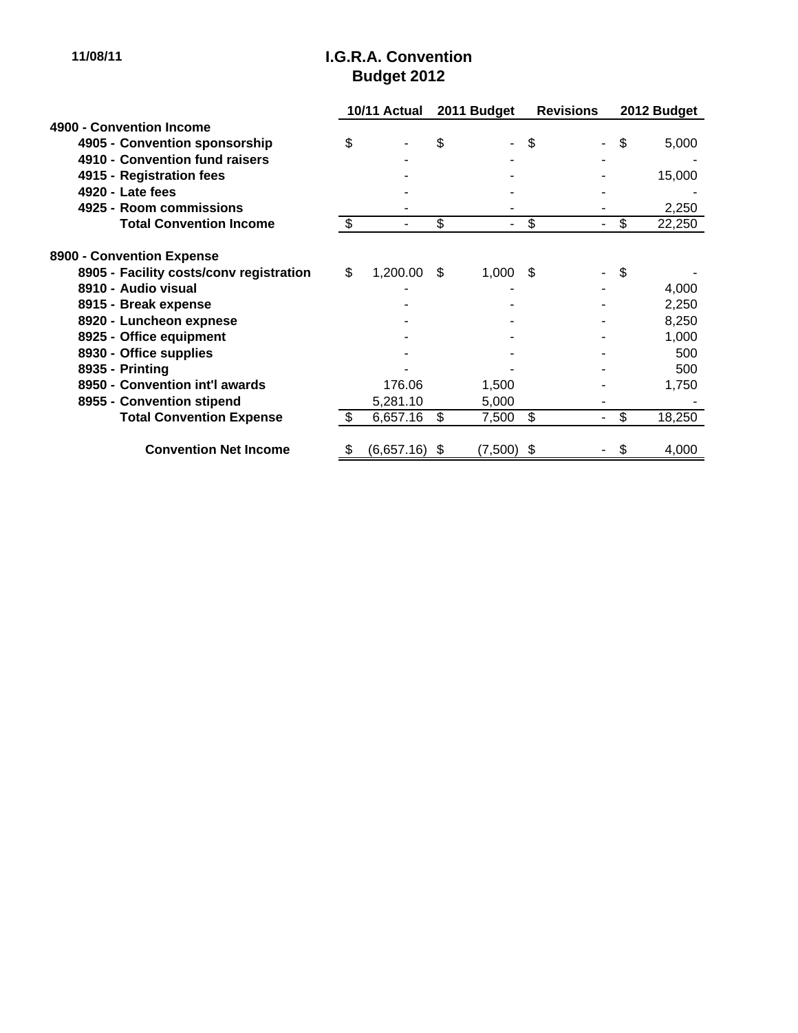#### **11/08/11 I.G.R.A. Convention Budget 2012**

|                                         | 10/11 Actual  |                          | 2011 Budget |              | <b>Revisions</b> |                          | 2012 Budget |        |
|-----------------------------------------|---------------|--------------------------|-------------|--------------|------------------|--------------------------|-------------|--------|
| 4900 - Convention Income                |               |                          |             |              |                  |                          |             |        |
| 4905 - Convention sponsorship           | \$            |                          | \$          |              | \$               | $\overline{\phantom{0}}$ | \$          | 5,000  |
| 4910 - Convention fund raisers          |               |                          |             |              |                  |                          |             |        |
| 4915 - Registration fees                |               |                          |             |              |                  |                          |             | 15,000 |
| 4920 - Late fees                        |               |                          |             |              |                  |                          |             |        |
| 4925 - Room commissions                 |               |                          |             |              |                  |                          |             | 2,250  |
| <b>Total Convention Income</b>          | $\frac{1}{2}$ | $\overline{\phantom{a}}$ | \$          | ۰.           | \$               | ٠                        | \$          | 22,250 |
| 8900 - Convention Expense               |               |                          |             |              |                  |                          |             |        |
| 8905 - Facility costs/conv registration | \$            | 1,200.00                 | \$.         | 1,000        | \$.              |                          | \$          |        |
| 8910 - Audio visual                     |               |                          |             |              |                  |                          |             | 4,000  |
| 8915 - Break expense                    |               |                          |             |              |                  |                          |             | 2,250  |
| 8920 - Luncheon expnese                 |               |                          |             |              |                  |                          |             | 8,250  |
| 8925 - Office equipment                 |               |                          |             |              |                  |                          |             | 1,000  |
| 8930 - Office supplies                  |               |                          |             |              |                  |                          |             | 500    |
| 8935 - Printing                         |               |                          |             |              |                  |                          |             | 500    |
| 8950 - Convention int'l awards          |               | 176.06                   |             | 1,500        |                  |                          |             | 1,750  |
| 8955 - Convention stipend               |               | 5,281.10                 |             | 5,000        |                  |                          |             |        |
| <b>Total Convention Expense</b>         | -S            | 6,657.16                 | \$          | 7,500        | \$               | ٠                        | \$          | 18,250 |
|                                         |               |                          |             |              |                  |                          |             |        |
| <b>Convention Net Income</b>            | \$            | $(6,657.16)$ \$          |             | $(7,500)$ \$ |                  |                          | Ъ           | 4,000  |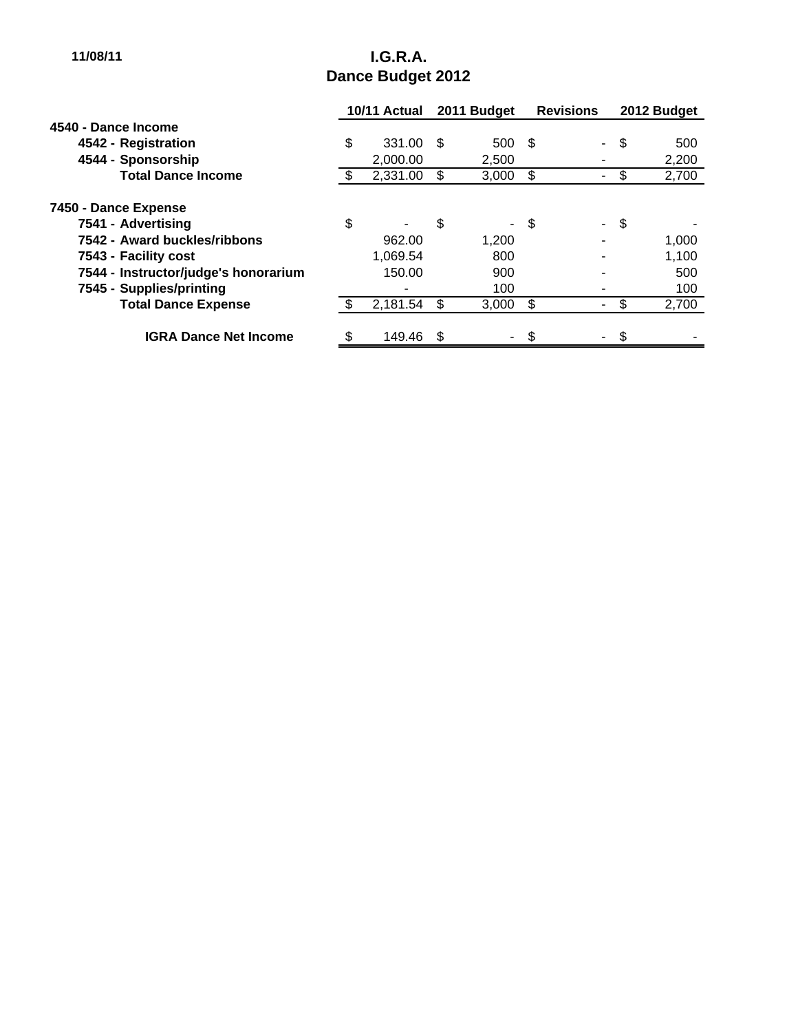# **11/08/11 I.G.R.A. Dance Budget 2012**

|                                      | 10/11 Actual |          | 2011 Budget |        | <b>Revisions</b> |    | 2012 Budget |       |
|--------------------------------------|--------------|----------|-------------|--------|------------------|----|-------------|-------|
| 4540 - Dance Income                  |              |          |             |        |                  |    |             |       |
| 4542 - Registration                  | \$           | 331.00   | - \$        | 500    | - \$             | ÷. | -\$         | 500   |
| 4544 - Sponsorship                   |              | 2,000.00 |             | 2,500  |                  |    |             | 2,200 |
| <b>Total Dance Income</b>            |              | 2,331.00 | S           | 3,000  | \$               |    |             | 2,700 |
| 7450 - Dance Expense                 |              |          |             |        |                  |    |             |       |
| 7541 - Advertising                   | \$           | ٠        | \$          |        | - \$             |    | - \$        |       |
| 7542 - Award buckles/ribbons         |              | 962.00   |             | 1,200  |                  |    |             | 1,000 |
| 7543 - Facility cost                 |              | 1.069.54 |             | 800    |                  |    |             | 1,100 |
| 7544 - Instructor/judge's honorarium |              | 150.00   |             | 900    |                  |    |             | 500   |
| 7545 - Supplies/printing             |              |          |             | 100    |                  |    |             | 100   |
| <b>Total Dance Expense</b>           |              | 2,181.54 | \$          | 3,000  | \$               |    | \$          | 2,700 |
| <b>IGRA Dance Net Income</b>         | \$           | 149.46   | - \$        | $\sim$ | \$               |    | \$          |       |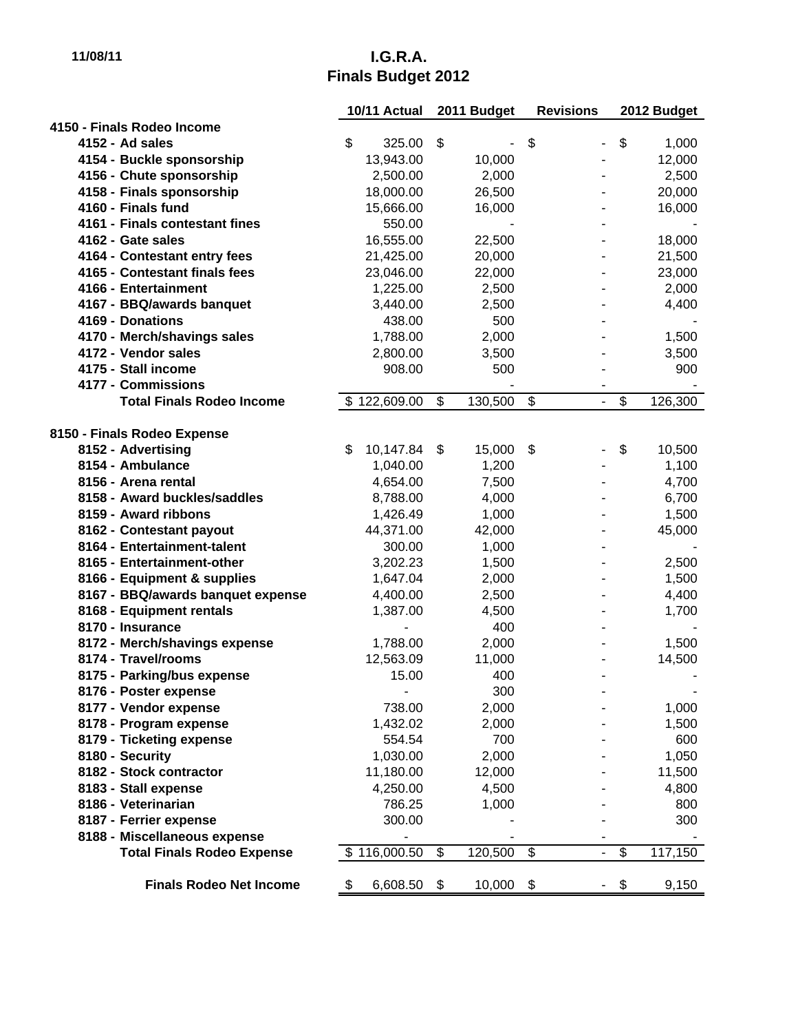# **11/08/11 I.G.R.A. Finals Budget 2012**

|                                   | 10/11 Actual    | 2011 Budget   | <b>Revisions</b>                   | 2012 Budget   |
|-----------------------------------|-----------------|---------------|------------------------------------|---------------|
| 4150 - Finals Rodeo Income        |                 |               |                                    |               |
| 4152 - Ad sales                   | \$<br>325.00    | \$            | \$<br>$\qquad \qquad \blacksquare$ | \$<br>1,000   |
| 4154 - Buckle sponsorship         | 13,943.00       | 10,000        |                                    | 12,000        |
| 4156 - Chute sponsorship          | 2,500.00        | 2,000         |                                    | 2,500         |
| 4158 - Finals sponsorship         | 18,000.00       | 26,500        |                                    | 20,000        |
| 4160 - Finals fund                | 15,666.00       | 16,000        |                                    | 16,000        |
| 4161 - Finals contestant fines    | 550.00          |               |                                    |               |
| 4162 - Gate sales                 | 16,555.00       | 22,500        |                                    | 18,000        |
| 4164 - Contestant entry fees      | 21,425.00       | 20,000        |                                    | 21,500        |
| 4165 - Contestant finals fees     | 23,046.00       | 22,000        |                                    | 23,000        |
| 4166 - Entertainment              | 1,225.00        | 2,500         |                                    | 2,000         |
| 4167 - BBQ/awards banquet         | 3,440.00        | 2,500         |                                    | 4,400         |
| 4169 - Donations                  | 438.00          | 500           |                                    |               |
| 4170 - Merch/shavings sales       | 1,788.00        | 2,000         |                                    | 1,500         |
| 4172 - Vendor sales               | 2,800.00        | 3,500         |                                    | 3,500         |
| 4175 - Stall income               | 908.00          | 500           |                                    | 900           |
| 4177 - Commissions                |                 |               |                                    |               |
| <b>Total Finals Rodeo Income</b>  | \$122,609.00    | \$<br>130,500 | \$<br>$\blacksquare$               | \$<br>126,300 |
|                                   |                 |               |                                    |               |
| 8150 - Finals Rodeo Expense       |                 |               |                                    |               |
| 8152 - Advertising                | \$<br>10,147.84 | \$<br>15,000  | \$                                 | \$<br>10,500  |
| 8154 - Ambulance                  | 1,040.00        | 1,200         |                                    | 1,100         |
| 8156 - Arena rental               | 4,654.00        | 7,500         |                                    | 4,700         |
| 8158 - Award buckles/saddles      | 8,788.00        | 4,000         |                                    | 6,700         |
| 8159 - Award ribbons              | 1,426.49        | 1,000         |                                    | 1,500         |
| 8162 - Contestant payout          | 44,371.00       | 42,000        |                                    | 45,000        |
| 8164 - Entertainment-talent       | 300.00          | 1,000         |                                    |               |
| 8165 - Entertainment-other        | 3,202.23        | 1,500         |                                    | 2,500         |
| 8166 - Equipment & supplies       | 1,647.04        | 2,000         |                                    | 1,500         |
| 8167 - BBQ/awards banquet expense | 4,400.00        | 2,500         |                                    | 4,400         |
| 8168 - Equipment rentals          | 1,387.00        | 4,500         |                                    | 1,700         |
| 8170 - Insurance                  |                 | 400           |                                    |               |
| 8172 - Merch/shavings expense     | 1,788.00        | 2,000         |                                    | 1,500         |
| 8174 - Travel/rooms               | 12,563.09       | 11,000        |                                    | 14,500        |
| 8175 - Parking/bus expense        | 15.00           | 400           |                                    |               |
| 8176 - Poster expense             |                 | 300           |                                    |               |
| 8177 - Vendor expense             | 738.00          | 2,000         |                                    | 1,000         |
| 8178 - Program expense            | 1,432.02        | 2,000         |                                    | 1,500         |
| 8179 - Ticketing expense          | 554.54          | 700           |                                    | 600           |
| 8180 - Security                   | 1,030.00        | 2,000         |                                    | 1,050         |
| 8182 - Stock contractor           | 11,180.00       | 12,000        |                                    | 11,500        |
| 8183 - Stall expense              | 4,250.00        | 4,500         |                                    | 4,800         |
| 8186 - Veterinarian               | 786.25          | 1,000         |                                    | 800           |
| 8187 - Ferrier expense            | 300.00          |               |                                    | 300           |
| 8188 - Miscellaneous expense      |                 |               | $\overline{\phantom{0}}$           | \$            |
| <b>Total Finals Rodeo Expense</b> | \$116,000.50    | \$<br>120,500 | \$                                 | 117,150       |
| <b>Finals Rodeo Net Income</b>    | 6,608.50<br>\$  | \$<br>10,000  | \$                                 | 9,150<br>\$   |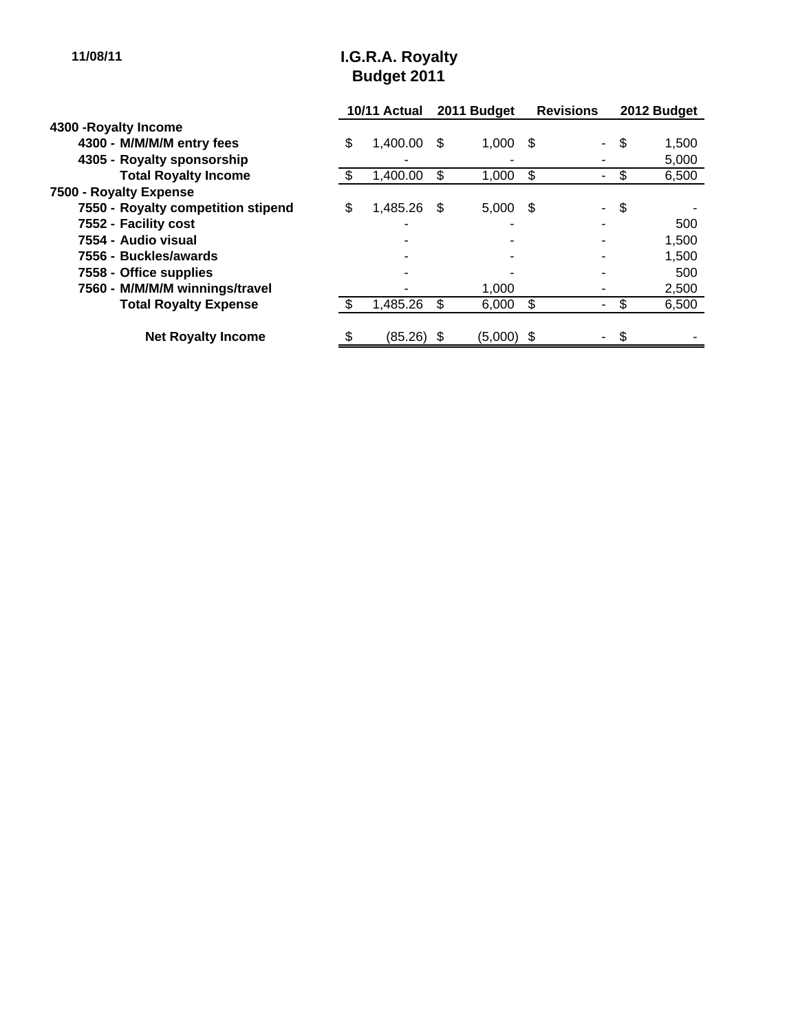# **11/08/11 I.G.R.A. Royalty Budget 2011**

|                                    | 10/11 Actual |            | 2011 Budget |            | <b>Revisions</b> |                          | 2012 Budget |       |
|------------------------------------|--------------|------------|-------------|------------|------------------|--------------------------|-------------|-------|
| 4300 - Royalty Income              |              |            |             |            |                  |                          |             |       |
| 4300 - M/M/M/M entry fees          | \$           | 1,400.00   | - \$        | 1,000      | - \$             | $\overline{\phantom{0}}$ | \$          | 1,500 |
| 4305 - Royalty sponsorship         |              |            |             |            |                  |                          |             | 5,000 |
| <b>Total Royalty Income</b>        |              | 1,400.00   | \$          | 1,000      | \$               |                          |             | 6,500 |
| 7500 - Royalty Expense             |              |            |             |            |                  |                          |             |       |
| 7550 - Royalty competition stipend | \$           | 1,485.26   | - \$        | 5,000      | -\$              | $\overline{\phantom{0}}$ | \$          |       |
| 7552 - Facility cost               |              |            |             |            |                  |                          |             | 500   |
| 7554 - Audio visual                |              |            |             |            |                  |                          |             | 1,500 |
| 7556 - Buckles/awards              |              |            |             |            |                  |                          |             | 1,500 |
| 7558 - Office supplies             |              |            |             |            |                  |                          |             | 500   |
| 7560 - M/M/M/M winnings/travel     |              |            |             | 1,000      |                  |                          |             | 2,500 |
| <b>Total Royalty Expense</b>       |              | 1,485.26   |             | 6,000      | \$               |                          | S           | 6,500 |
| <b>Net Royalty Income</b>          |              | (85.26) \$ |             | (5,000) \$ |                  |                          | \$          |       |